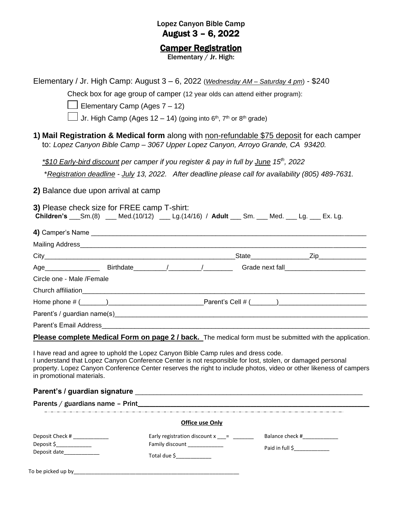### Lopez Canyon Bible Camp August 3 – 6, 2022

#### **Camper Registration**

Elementary / Jr. High:

| Elementary / Jr. High Camp: August 3 – 6, 2022 (Wednesday AM – Saturday 4 pm) - \$240<br>$\Box$ Elementary Camp (Ages 7 – 12)                                                                                                                                                                                                                    | Check box for age group of camper (12 year olds can attend either program):<br>Jr. High Camp (Ages 12 – 14) (going into $6th$ , $7th$ or $8th$ grade)                                                     |                                              |
|--------------------------------------------------------------------------------------------------------------------------------------------------------------------------------------------------------------------------------------------------------------------------------------------------------------------------------------------------|-----------------------------------------------------------------------------------------------------------------------------------------------------------------------------------------------------------|----------------------------------------------|
| 1) Mail Registration & Medical form along with non-refundable \$75 deposit for each camper                                                                                                                                                                                                                                                       | to: Lopez Canyon Bible Camp - 3067 Upper Lopez Canyon, Arroyo Grande, CA 93420.                                                                                                                           |                                              |
|                                                                                                                                                                                                                                                                                                                                                  | *\$10 Early-bird discount per camper if you register & pay in full by June 15 <sup>th</sup> , 2022<br>*Registration deadline - July 13, 2022. After deadline please call for availability (805) 489-7631. |                                              |
| 2) Balance due upon arrival at camp                                                                                                                                                                                                                                                                                                              |                                                                                                                                                                                                           |                                              |
| 3) Please check size for FREE camp T-shirt:<br>Children's ___Sm.(8) ___ Med.(10/12) ___ Lg.(14/16) / Adult ___ Sm. ___ Med. ___ Lg. ___ Ex. Lg.                                                                                                                                                                                                  |                                                                                                                                                                                                           |                                              |
|                                                                                                                                                                                                                                                                                                                                                  |                                                                                                                                                                                                           |                                              |
|                                                                                                                                                                                                                                                                                                                                                  |                                                                                                                                                                                                           | the control of the control of the control of |
|                                                                                                                                                                                                                                                                                                                                                  |                                                                                                                                                                                                           |                                              |
|                                                                                                                                                                                                                                                                                                                                                  |                                                                                                                                                                                                           |                                              |
| Circle one - Male / Female                                                                                                                                                                                                                                                                                                                       |                                                                                                                                                                                                           |                                              |
|                                                                                                                                                                                                                                                                                                                                                  |                                                                                                                                                                                                           |                                              |
|                                                                                                                                                                                                                                                                                                                                                  |                                                                                                                                                                                                           |                                              |
|                                                                                                                                                                                                                                                                                                                                                  |                                                                                                                                                                                                           |                                              |
|                                                                                                                                                                                                                                                                                                                                                  |                                                                                                                                                                                                           |                                              |
| Please complete Medical Form on page 2 / back. The medical form must be submitted with the application.                                                                                                                                                                                                                                          |                                                                                                                                                                                                           |                                              |
| I have read and agree to uphold the Lopez Canyon Bible Camp rules and dress code.<br>I understand that Lopez Canyon Conference Center is not responsible for lost, stolen, or damaged personal<br>property. Lopez Canyon Conference Center reserves the right to include photos, video or other likeness of campers<br>in promotional materials. |                                                                                                                                                                                                           |                                              |
|                                                                                                                                                                                                                                                                                                                                                  |                                                                                                                                                                                                           |                                              |
|                                                                                                                                                                                                                                                                                                                                                  |                                                                                                                                                                                                           |                                              |
|                                                                                                                                                                                                                                                                                                                                                  | Office use Only                                                                                                                                                                                           |                                              |
| Deposit Check # ______________                                                                                                                                                                                                                                                                                                                   | Early registration discount $x$ __= ______                                                                                                                                                                | Balance check #_____________                 |
| Deposit \$                                                                                                                                                                                                                                                                                                                                       | Family discount ______________                                                                                                                                                                            | Paid in full \$                              |
| Deposit date_____________                                                                                                                                                                                                                                                                                                                        | Total due \$                                                                                                                                                                                              |                                              |
|                                                                                                                                                                                                                                                                                                                                                  |                                                                                                                                                                                                           |                                              |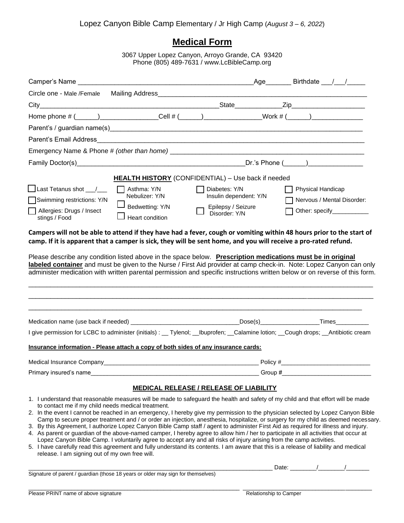## **Medical Form**

3067 Upper Lopez Canyon, Arroyo Grande, CA 93420 Phone (805) 489-7631 / [www.LcBibleCamp.org](http://www.lcbiblecamp.org/)

| Camper's Name                                                                                                            |                                                                                    |                                                                                                                      | _Age________ Birthdate ___ /___ /_____                                                                                                                                                                                                                                                                                                                                                                                                                                                                                                                                                                                                                                                                                                                                                                                              |  |
|--------------------------------------------------------------------------------------------------------------------------|------------------------------------------------------------------------------------|----------------------------------------------------------------------------------------------------------------------|-------------------------------------------------------------------------------------------------------------------------------------------------------------------------------------------------------------------------------------------------------------------------------------------------------------------------------------------------------------------------------------------------------------------------------------------------------------------------------------------------------------------------------------------------------------------------------------------------------------------------------------------------------------------------------------------------------------------------------------------------------------------------------------------------------------------------------------|--|
| Circle one - Male /Female                                                                                                |                                                                                    |                                                                                                                      |                                                                                                                                                                                                                                                                                                                                                                                                                                                                                                                                                                                                                                                                                                                                                                                                                                     |  |
|                                                                                                                          |                                                                                    |                                                                                                                      |                                                                                                                                                                                                                                                                                                                                                                                                                                                                                                                                                                                                                                                                                                                                                                                                                                     |  |
|                                                                                                                          |                                                                                    |                                                                                                                      | Home phone # (_____)_________________Cell # (_____)_______________Work # (_____)___________________                                                                                                                                                                                                                                                                                                                                                                                                                                                                                                                                                                                                                                                                                                                                 |  |
|                                                                                                                          |                                                                                    |                                                                                                                      |                                                                                                                                                                                                                                                                                                                                                                                                                                                                                                                                                                                                                                                                                                                                                                                                                                     |  |
|                                                                                                                          |                                                                                    |                                                                                                                      |                                                                                                                                                                                                                                                                                                                                                                                                                                                                                                                                                                                                                                                                                                                                                                                                                                     |  |
|                                                                                                                          |                                                                                    |                                                                                                                      |                                                                                                                                                                                                                                                                                                                                                                                                                                                                                                                                                                                                                                                                                                                                                                                                                                     |  |
|                                                                                                                          |                                                                                    |                                                                                                                      |                                                                                                                                                                                                                                                                                                                                                                                                                                                                                                                                                                                                                                                                                                                                                                                                                                     |  |
|                                                                                                                          |                                                                                    | <b>HEALTH HISTORY</b> (CONFIDENTIAL) - Use back if needed                                                            |                                                                                                                                                                                                                                                                                                                                                                                                                                                                                                                                                                                                                                                                                                                                                                                                                                     |  |
| $\Box$ Last Tetanus shot $\_\_\_\_\_\_\_\_\$<br>Swimming restrictions: Y/N<br>Allergies: Drugs / Insect<br>stings / Food | $\Box$ Asthma: Y/N<br>Nebulizer: Y/N<br>Bedwetting: Y/N<br>Heart condition         | Diabetes: Y/N<br>Insulin dependent: Y/N<br>Epilepsy / Seizure<br>Disorder: Y/N                                       | Physical Handicap<br>Nervous / Mental Disorder:<br>Other: specify____________                                                                                                                                                                                                                                                                                                                                                                                                                                                                                                                                                                                                                                                                                                                                                       |  |
|                                                                                                                          |                                                                                    |                                                                                                                      | administer medication with written parental permission and specific instructions written below or on reverse of this form.                                                                                                                                                                                                                                                                                                                                                                                                                                                                                                                                                                                                                                                                                                          |  |
|                                                                                                                          |                                                                                    |                                                                                                                      |                                                                                                                                                                                                                                                                                                                                                                                                                                                                                                                                                                                                                                                                                                                                                                                                                                     |  |
|                                                                                                                          |                                                                                    |                                                                                                                      | I give permission for LCBC to administer (initials) : __ Tylenol; __Ibuprofen; __Calamine lotion; __Cough drops; __Antibiotic cream                                                                                                                                                                                                                                                                                                                                                                                                                                                                                                                                                                                                                                                                                                 |  |
|                                                                                                                          | Insurance information - Please attach a copy of both sides of any insurance cards: |                                                                                                                      |                                                                                                                                                                                                                                                                                                                                                                                                                                                                                                                                                                                                                                                                                                                                                                                                                                     |  |
|                                                                                                                          |                                                                                    |                                                                                                                      |                                                                                                                                                                                                                                                                                                                                                                                                                                                                                                                                                                                                                                                                                                                                                                                                                                     |  |
| Primary insured's name                                                                                                   |                                                                                    | Group #                                                                                                              |                                                                                                                                                                                                                                                                                                                                                                                                                                                                                                                                                                                                                                                                                                                                                                                                                                     |  |
|                                                                                                                          |                                                                                    | <b>MEDICAL RELEASE / RELEASE OF LIABILITY</b>                                                                        |                                                                                                                                                                                                                                                                                                                                                                                                                                                                                                                                                                                                                                                                                                                                                                                                                                     |  |
| to contact me if my child needs medical treatment.<br>release. I am signing out of my own free will.                     |                                                                                    | Lopez Canyon Bible Camp. I voluntarily agree to accept any and all risks of injury arising from the camp activities. | 1. I understand that reasonable measures will be made to safeguard the health and safety of my child and that effort will be made<br>2. In the event I cannot be reached in an emergency, I hereby give my permission to the physician selected by Lopez Canyon Bible<br>Camp to secure proper treatment and / or order an injection, anesthesia, hospitalize, or surgery for my child as deemed necessary.<br>3. By this Agreement, I authorize Lopez Canyon Bible Camp staff / agent to administer First Aid as required for illness and injury.<br>4. As parent or guardian of the above-named camper, I hereby agree to allow him / her to participate in all activities that occur at<br>5. I have carefully read this agreement and fully understand its contents. I am aware that this is a release of liability and medical |  |

Signature of parent / guardian (those 18 years or older may sign for themselves)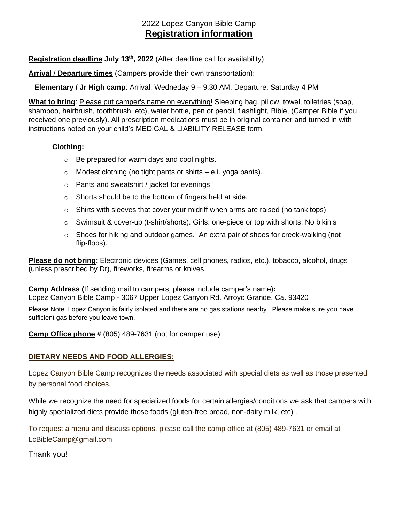## 2022 Lopez Canyon Bible Camp **Registration information**

**Registration deadline July 13 th, 2022** (After deadline call for availability)

**Arrival** / **Departure times** (Campers provide their own transportation):

**Elementary / Jr High camp**: Arrival: Wedneday 9 – 9:30 AM; Departure: Saturday 4 PM

**What to bring**: Please put camper's name on everything! Sleeping bag, pillow, towel, toiletries (soap, shampoo, hairbrush, toothbrush, etc), water bottle, pen or pencil, flashlight, Bible, (Camper Bible if you received one previously). All prescription medications must be in original container and turned in with instructions noted on your child's MEDICAL & LIABILITY RELEASE form.

#### **Clothing:**

- o Be prepared for warm days and cool nights.
- $\circ$  Modest clothing (no tight pants or shirts e.i. yoga pants).
- o Pants and sweatshirt / jacket for evenings
- o Shorts should be to the bottom of fingers held at side.
- $\circ$  Shirts with sleeves that cover your midriff when arms are raised (no tank tops)
- o Swimsuit & cover-up (t-shirt/shorts). Girls: one-piece or top with shorts. No bikinis
- $\circ$  Shoes for hiking and outdoor games. An extra pair of shoes for creek-walking (not flip-flops).

**Please do not bring**: Electronic devices (Games, cell phones, radios, etc.), tobacco, alcohol, drugs (unless prescribed by Dr), fireworks, firearms or knives.

**Camp Address (**If sending mail to campers, please include camper's name)**:** Lopez Canyon Bible Camp - 3067 Upper Lopez Canyon Rd. Arroyo Grande, Ca. 93420

Please Note: Lopez Canyon is fairly isolated and there are no gas stations nearby. Please make sure you have sufficient gas before you leave town.

#### **Camp Office phone #** (805) 489-7631 (not for camper use)

#### **DIETARY NEEDS AND FOOD ALLERGIES:**

Lopez Canyon Bible Camp recognizes the needs associated with special diets as well as those presented by personal food choices.

While we recognize the need for specialized foods for certain allergies/conditions we ask that campers with highly specialized diets provide those foods (gluten-free bread, non-dairy milk, etc) .

To request a menu and discuss options, please call the camp office at (805) 489-7631 or email at LcBibleCamp@gmail.com

Thank you!